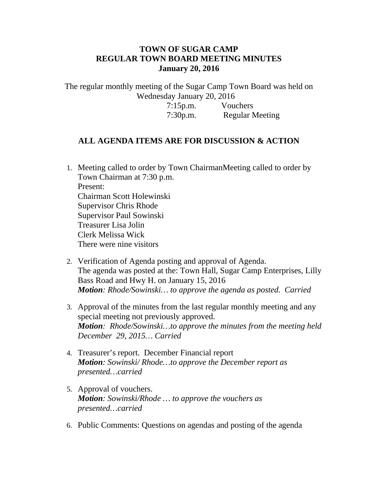## **TOWN OF SUGAR CAMP REGULAR TOWN BOARD MEETING MINUTES January 20, 2016**

The regular monthly meeting of the Sugar Camp Town Board was held on Wednesday January 20, 2016

> 7:15p.m. Vouchers 7:30p.m. Regular Meeting

## **ALL AGENDA ITEMS ARE FOR DISCUSSION & ACTION**

- 1. Meeting called to order by Town ChairmanMeeting called to order by Town Chairman at 7:30 p.m. Present: Chairman Scott Holewinski Supervisor Chris Rhode Supervisor Paul Sowinski Treasurer Lisa Jolin Clerk Melissa Wick There were nine visitors
- 2. Verification of Agenda posting and approval of Agenda. The agenda was posted at the: Town Hall, Sugar Camp Enterprises, Lilly Bass Road and Hwy H. on January 15, 2016 *Motion: Rhode/Sowinski… to approve the agenda as posted. Carried*
- 3. Approval of the minutes from the last regular monthly meeting and any special meeting not previously approved. *Motion: Rhode/Sowinski…to approve the minutes from the meeting held December 29, 2015… Carried*
- 4. Treasurer's report. December Financial report *Motion: Sowinski/ Rhode…to approve the December report as presented…carried*
- 5. Approval of vouchers. *Motion: Sowinski/Rhode … to approve the vouchers as presented…carried*
- 6. Public Comments: Questions on agendas and posting of the agenda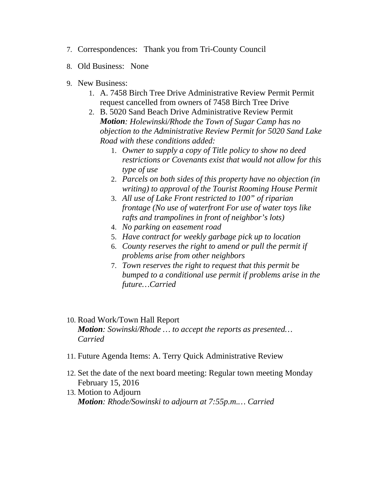- 7. Correspondences: Thank you from Tri-County Council
- 8. Old Business: None
- 9. New Business:
	- 1. A. 7458 Birch Tree Drive Administrative Review Permit Permit request cancelled from owners of 7458 Birch Tree Drive
	- 2. B. 5020 Sand Beach Drive Administrative Review Permit *Motion: Holewinski/Rhode the Town of Sugar Camp has no objection to the Administrative Review Permit for 5020 Sand Lake Road with these conditions added:*
		- 1. *Owner to supply a copy of Title policy to show no deed restrictions or Covenants exist that would not allow for this type of use*
		- 2. *Parcels on both sides of this property have no objection (in writing) to approval of the Tourist Rooming House Permit*
		- 3. *All use of Lake Front restricted to 100" of riparian frontage (No use of waterfront For use of water toys like rafts and trampolines in front of neighbor's lots)*
		- 4. *No parking on easement road*
		- 5. *Have contract for weekly garbage pick up to location*
		- 6. *County reserves the right to amend or pull the permit if problems arise from other neighbors*
		- 7. *Town reserves the right to request that this permit be bumped to a conditional use permit if problems arise in the future…Carried*
- 10. Road Work/Town Hall Report *Motion: Sowinski/Rhode … to accept the reports as presented… Carried*
- 11. Future Agenda Items: A. Terry Quick Administrative Review
- 12. Set the date of the next board meeting: Regular town meeting Monday February 15, 2016
- 13. Motion to Adjourn *Motion: Rhode/Sowinski to adjourn at 7:55p.m.… Carried*